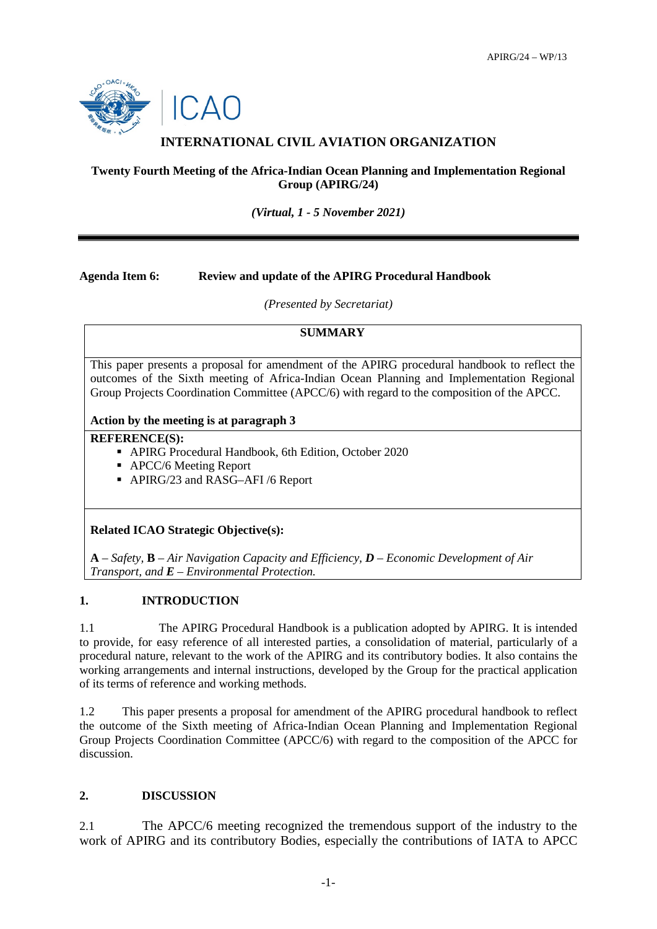

# **INTERNATIONAL CIVIL AVIATION ORGANIZATION**

## **Twenty Fourth Meeting of the Africa-Indian Ocean Planning and Implementation Regional Group (APIRG/24)**

*(Virtual, 1 - 5 November 2021)*

#### **Agenda Item 6: Review and update of the APIRG Procedural Handbook**

*(Presented by Secretariat)*

## **SUMMARY**

This paper presents a proposal for amendment of the APIRG procedural handbook to reflect the outcomes of the Sixth meeting of Africa-Indian Ocean Planning and Implementation Regional Group Projects Coordination Committee (APCC/6) with regard to the composition of the APCC.

#### **Action by the meeting is at paragraph 3**

#### **REFERENCE(S):**

- APIRG Procedural Handbook, 6th Edition, October 2020
- APCC/6 Meeting Report
- APIRG/23 and RASG-AFI /6 Report

#### **Related ICAO Strategic Objective(s):**

**A** – *Safety,* **B** – *Air Navigation Capacity and Efficiency, D – Economic Development of Air Transport, and E – Environmental Protection.*

# **1. INTRODUCTION**

1.1 The APIRG Procedural Handbook is a publication adopted by APIRG. It is intended to provide, for easy reference of all interested parties, a consolidation of material, particularly of a procedural nature, relevant to the work of the APIRG and its contributory bodies. It also contains the working arrangements and internal instructions, developed by the Group for the practical application of its terms of reference and working methods.

1.2 This paper presents a proposal for amendment of the APIRG procedural handbook to reflect the outcome of the Sixth meeting of Africa-Indian Ocean Planning and Implementation Regional Group Projects Coordination Committee (APCC/6) with regard to the composition of the APCC for discussion.

# **2. DISCUSSION**

2.1 The APCC/6 meeting recognized the tremendous support of the industry to the work of APIRG and its contributory Bodies, especially the contributions of IATA to APCC